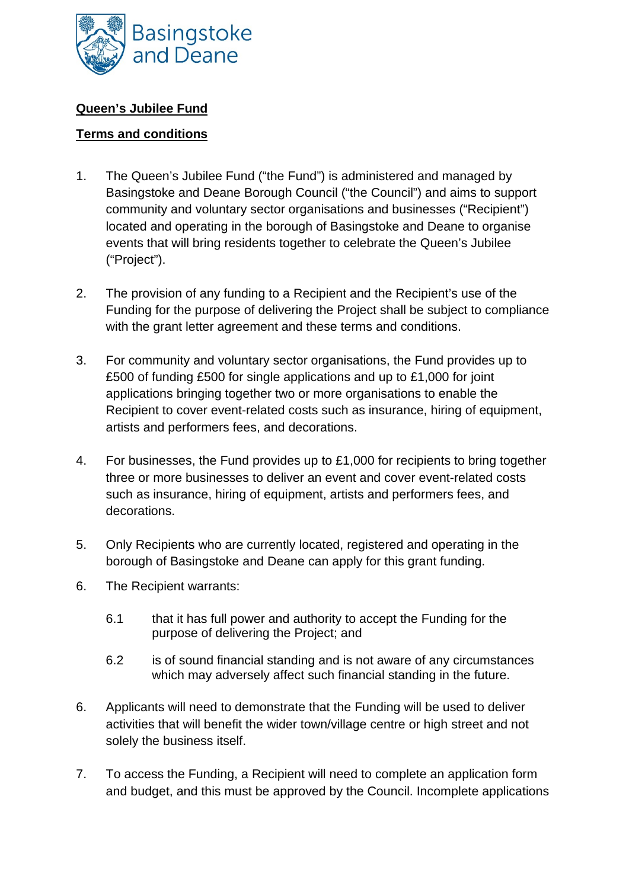

## **Queen's Jubilee Fund**

## **Terms and conditions**

- 1. The Queen's Jubilee Fund ("the Fund") is administered and managed by Basingstoke and Deane Borough Council ("the Council") and aims to support community and voluntary sector organisations and businesses ("Recipient") located and operating in the borough of Basingstoke and Deane to organise events that will bring residents together to celebrate the Queen's Jubilee ("Project").
- 2. The provision of any funding to a Recipient and the Recipient's use of the Funding for the purpose of delivering the Project shall be subject to compliance with the grant letter agreement and these terms and conditions.
- 3. For community and voluntary sector organisations, the Fund provides up to £500 of funding £500 for single applications and up to £1,000 for joint applications bringing together two or more organisations to enable the Recipient to cover event-related costs such as insurance, hiring of equipment, artists and performers fees, and decorations.
- 4. For businesses, the Fund provides up to £1,000 for recipients to bring together three or more businesses to deliver an event and cover event-related costs such as insurance, hiring of equipment, artists and performers fees, and decorations.
- 5. Only Recipients who are currently located, registered and operating in the borough of Basingstoke and Deane can apply for this grant funding.
- 6. The Recipient warrants:
	- 6.1 that it has full power and authority to accept the Funding for the purpose of delivering the Project; and
	- 6.2 is of sound financial standing and is not aware of any circumstances which may adversely affect such financial standing in the future.
- 6. Applicants will need to demonstrate that the Funding will be used to deliver activities that will benefit the wider town/village centre or high street and not solely the business itself.
- 7. To access the Funding, a Recipient will need to complete an application form and budget, and this must be approved by the Council. Incomplete applications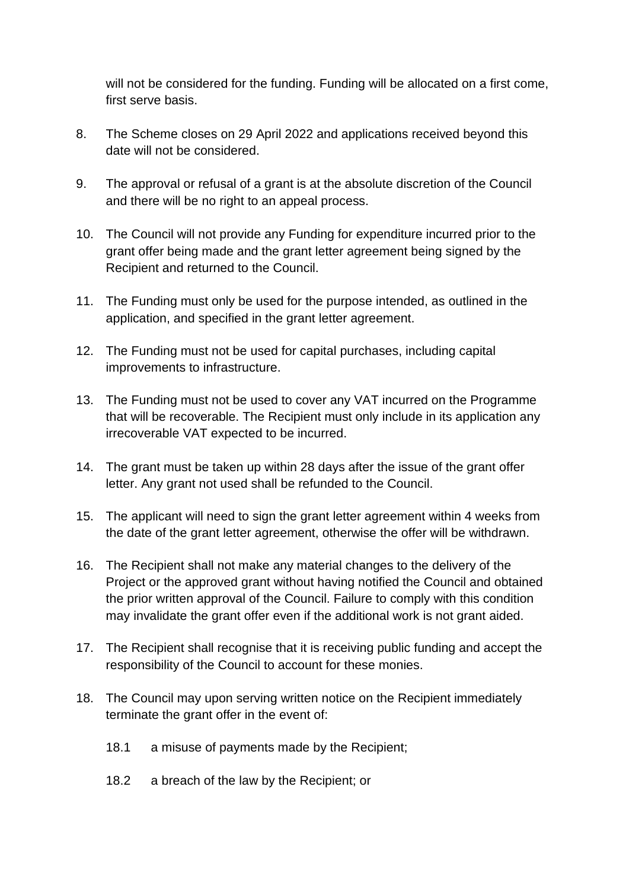will not be considered for the funding. Funding will be allocated on a first come, first serve basis.

- 8. The Scheme closes on 29 April 2022 and applications received beyond this date will not be considered.
- 9. The approval or refusal of a grant is at the absolute discretion of the Council and there will be no right to an appeal process.
- 10. The Council will not provide any Funding for expenditure incurred prior to the grant offer being made and the grant letter agreement being signed by the Recipient and returned to the Council.
- 11. The Funding must only be used for the purpose intended, as outlined in the application, and specified in the grant letter agreement.
- 12. The Funding must not be used for capital purchases, including capital improvements to infrastructure.
- 13. The Funding must not be used to cover any VAT incurred on the Programme that will be recoverable. The Recipient must only include in its application any irrecoverable VAT expected to be incurred.
- 14. The grant must be taken up within 28 days after the issue of the grant offer letter. Any grant not used shall be refunded to the Council.
- 15. The applicant will need to sign the grant letter agreement within 4 weeks from the date of the grant letter agreement, otherwise the offer will be withdrawn.
- 16. The Recipient shall not make any material changes to the delivery of the Project or the approved grant without having notified the Council and obtained the prior written approval of the Council. Failure to comply with this condition may invalidate the grant offer even if the additional work is not grant aided.
- 17. The Recipient shall recognise that it is receiving public funding and accept the responsibility of the Council to account for these monies.
- 18. The Council may upon serving written notice on the Recipient immediately terminate the grant offer in the event of:
	- 18.1 a misuse of payments made by the Recipient;
	- 18.2 a breach of the law by the Recipient; or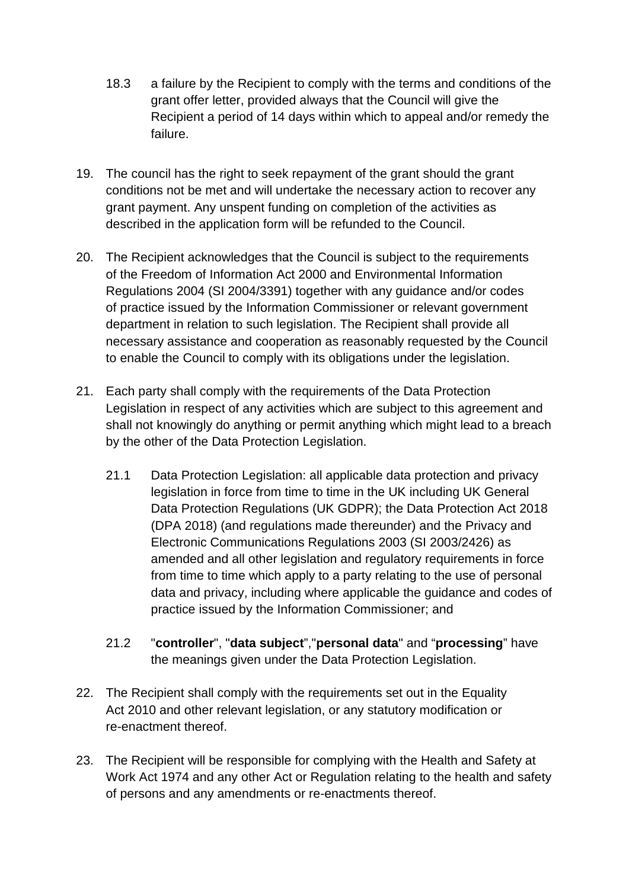- 18.3 a failure by the Recipient to comply with the terms and conditions of the grant offer letter, provided always that the Council will give the Recipient a period of 14 days within which to appeal and/or remedy the failure.
- 19. The council has the right to seek repayment of the grant should the grant conditions not be met and will undertake the necessary action to recover any grant payment. Any unspent funding on completion of the activities as described in the application form will be refunded to the Council.
- 20. The Recipient acknowledges that the Council is subject to the requirements of the Freedom of Information Act 2000 and Environmental Information Regulations 2004 (SI 2004/3391) together with any guidance and/or codes of practice issued by the Information Commissioner or relevant government department in relation to such legislation. The Recipient shall provide all necessary assistance and cooperation as reasonably requested by the Council to enable the Council to comply with its obligations under the legislation.
- 21. Each party shall comply with the requirements of the Data Protection Legislation in respect of any activities which are subject to this agreement and shall not knowingly do anything or permit anything which might lead to a breach by the other of the Data Protection Legislation.
	- 21.1 Data Protection Legislation: all applicable data protection and privacy legislation in force from time to time in the UK including UK General Data Protection Regulations (UK GDPR); the Data Protection Act 2018 (DPA 2018) (and regulations made thereunder) and the Privacy and Electronic Communications Regulations 2003 (SI 2003/2426) as amended and all other legislation and regulatory requirements in force from time to time which apply to a party relating to the use of personal data and privacy, including where applicable the guidance and codes of practice issued by the Information Commissioner; and
	- 21.2 "**controller**", "**data subject**","**personal data**" and "**processing**" have the meanings given under the Data Protection Legislation.
- 22. The Recipient shall comply with the requirements set out in the Equality Act 2010 and other relevant legislation, or any statutory modification or re-enactment thereof.
- 23. The Recipient will be responsible for complying with the Health and Safety at Work Act 1974 and any other Act or Regulation relating to the health and safety of persons and any amendments or re-enactments thereof.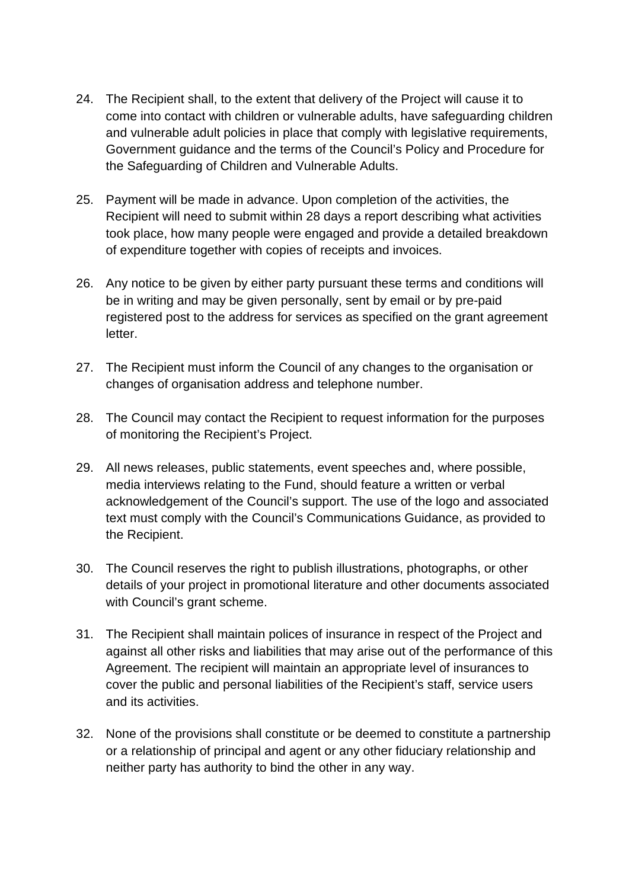- 24. The Recipient shall, to the extent that delivery of the Project will cause it to come into contact with children or vulnerable adults, have safeguarding children and vulnerable adult policies in place that comply with legislative requirements, Government guidance and the terms of the Council's Policy and Procedure for the Safeguarding of Children and Vulnerable Adults.
- 25. Payment will be made in advance. Upon completion of the activities, the Recipient will need to submit within 28 days a report describing what activities took place, how many people were engaged and provide a detailed breakdown of expenditure together with copies of receipts and invoices.
- 26. Any notice to be given by either party pursuant these terms and conditions will be in writing and may be given personally, sent by email or by pre-paid registered post to the address for services as specified on the grant agreement letter.
- 27. The Recipient must inform the Council of any changes to the organisation or changes of organisation address and telephone number.
- 28. The Council may contact the Recipient to request information for the purposes of monitoring the Recipient's Project.
- 29. All news releases, public statements, event speeches and, where possible, media interviews relating to the Fund, should feature a written or verbal acknowledgement of the Council's support. The use of the logo and associated text must comply with the Council's Communications Guidance, as provided to the Recipient.
- 30. The Council reserves the right to publish illustrations, photographs, or other details of your project in promotional literature and other documents associated with Council's grant scheme.
- 31. The Recipient shall maintain polices of insurance in respect of the Project and against all other risks and liabilities that may arise out of the performance of this Agreement. The recipient will maintain an appropriate level of insurances to cover the public and personal liabilities of the Recipient's staff, service users and its activities.
- 32. None of the provisions shall constitute or be deemed to constitute a partnership or a relationship of principal and agent or any other fiduciary relationship and neither party has authority to bind the other in any way.